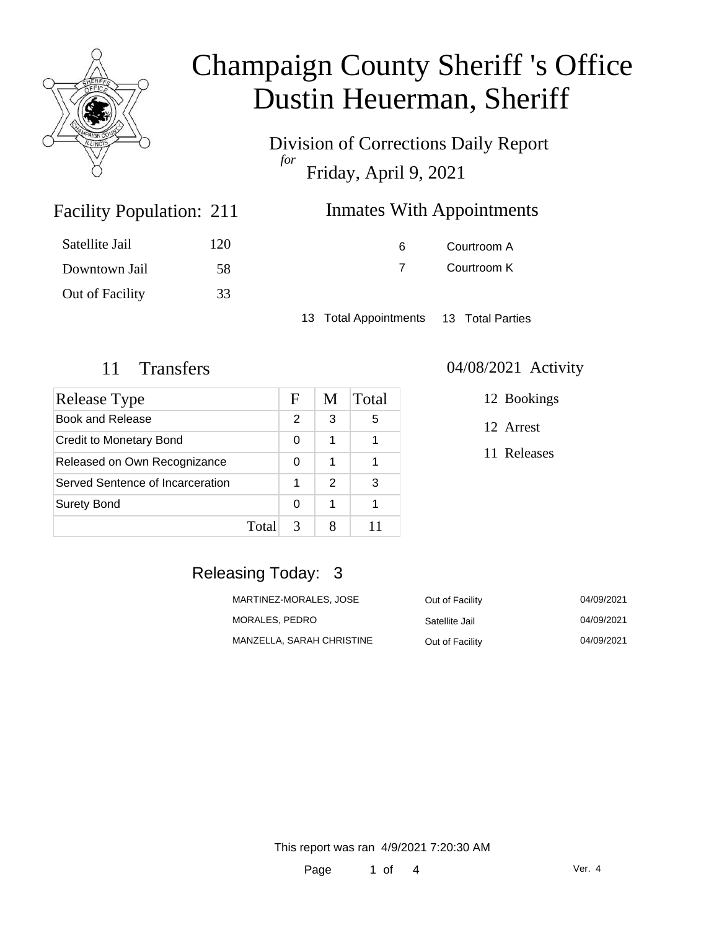

Division of Corrections Daily Report *for* Friday, April 9, 2021

### Inmates With Appointments

| Satellite Jail  | 120 |
|-----------------|-----|
| Downtown Jail   | 58  |
| Out of Facility | 33  |

Facility Population: 211

6 Courtroom A 7 Courtroom K

13 Total Appointments 13 Total Parties

| Release Type                     |       | F | M             | Total |
|----------------------------------|-------|---|---------------|-------|
| <b>Book and Release</b>          |       | 2 | 3             | 5     |
| <b>Credit to Monetary Bond</b>   |       | 0 | 1             |       |
| Released on Own Recognizance     |       | 0 | 1             |       |
| Served Sentence of Incarceration |       | 1 | $\mathcal{P}$ | З     |
| <b>Surety Bond</b>               |       | 0 | 1             |       |
|                                  | Total | 3 |               |       |

#### 11 Transfers 04/08/2021 Activity

12 Bookings

12 Arrest

11 Releases

### Releasing Today: 3

| MARTINEZ-MORALES, JOSE    | Out of Facility | 04/09/2021 |
|---------------------------|-----------------|------------|
| MORALES, PEDRO            | Satellite Jail  | 04/09/2021 |
| MANZELLA, SARAH CHRISTINE | Out of Facility | 04/09/2021 |

This report was ran 4/9/2021 7:20:30 AM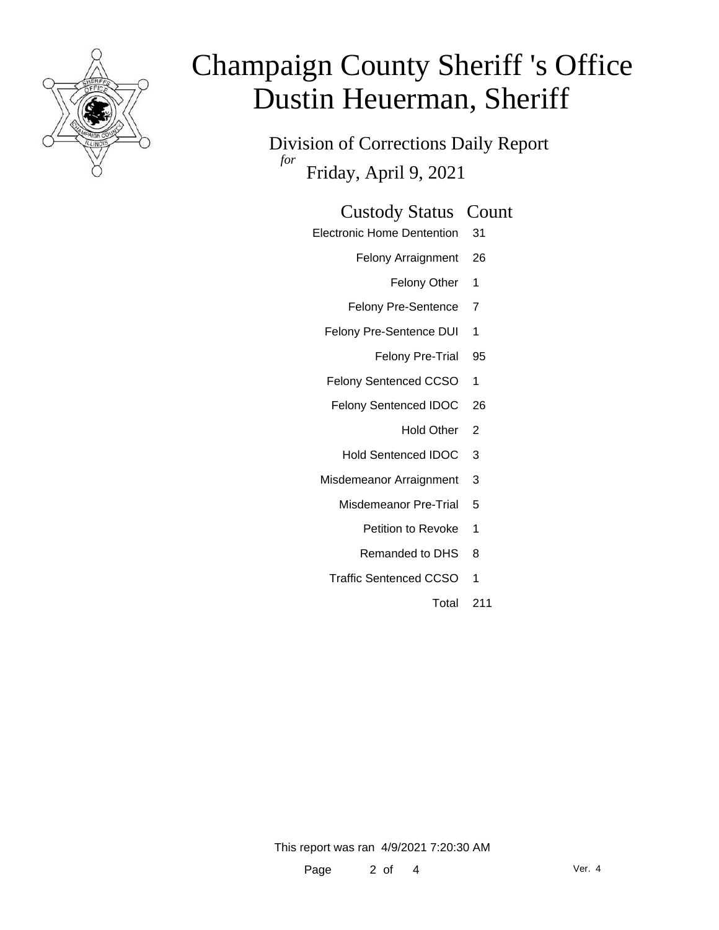

Division of Corrections Daily Report *for* Friday, April 9, 2021

### Custody Status Count

- Electronic Home Dentention 31
	- Felony Arraignment 26
		- Felony Other 1
	- Felony Pre-Sentence 7
	- Felony Pre-Sentence DUI 1
		- Felony Pre-Trial 95
	- Felony Sentenced CCSO 1
	- Felony Sentenced IDOC 26
		- Hold Other 2
		- Hold Sentenced IDOC 3
	- Misdemeanor Arraignment 3
		- Misdemeanor Pre-Trial 5
			- Petition to Revoke 1
			- Remanded to DHS 8
		- Traffic Sentenced CCSO 1
			- Total 211

This report was ran 4/9/2021 7:20:30 AM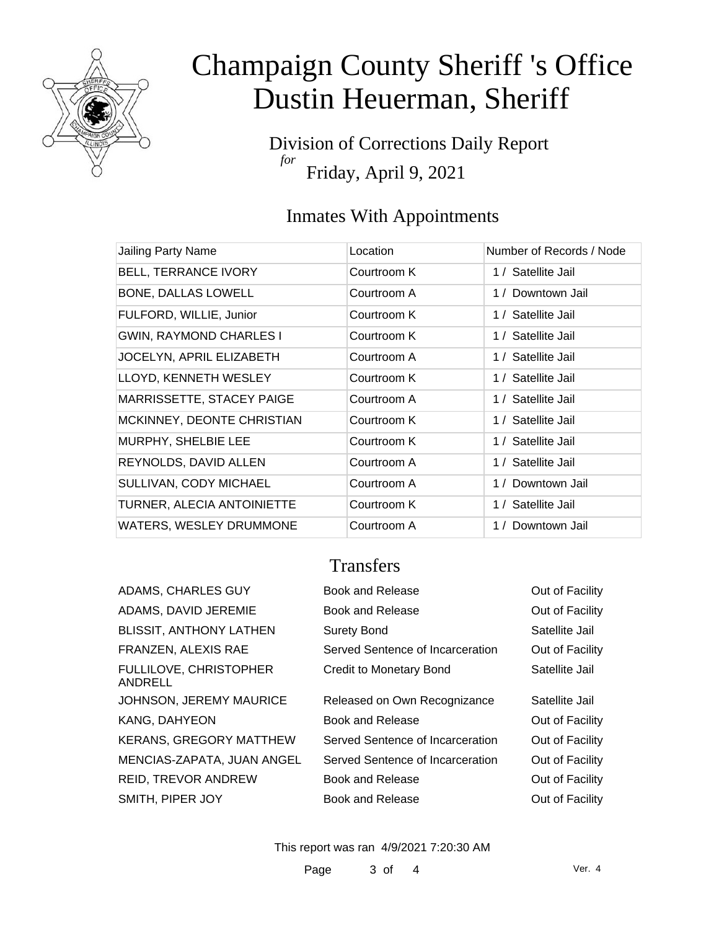

Division of Corrections Daily Report *for* Friday, April 9, 2021

## Inmates With Appointments

| Jailing Party Name             | Location    | Number of Records / Node |
|--------------------------------|-------------|--------------------------|
| <b>BELL, TERRANCE IVORY</b>    | Courtroom K | 1 / Satellite Jail       |
| BONE, DALLAS LOWELL            | Courtroom A | 1 / Downtown Jail        |
| FULFORD, WILLIE, Junior        | Courtroom K | 1 / Satellite Jail       |
| <b>GWIN, RAYMOND CHARLES I</b> | Courtroom K | 1 / Satellite Jail       |
| JOCELYN, APRIL ELIZABETH       | Courtroom A | 1 / Satellite Jail       |
| LLOYD, KENNETH WESLEY          | Courtroom K | 1 / Satellite Jail       |
| MARRISSETTE, STACEY PAIGE      | Courtroom A | 1 / Satellite Jail       |
| MCKINNEY, DEONTE CHRISTIAN     | Courtroom K | 1 / Satellite Jail       |
| MURPHY, SHELBIE LEE            | Courtroom K | 1 / Satellite Jail       |
| REYNOLDS, DAVID ALLEN          | Courtroom A | 1 / Satellite Jail       |
| SULLIVAN, CODY MICHAEL         | Courtroom A | 1 / Downtown Jail        |
| TURNER, ALECIA ANTOINIETTE     | Courtroom K | 1 / Satellite Jail       |
| WATERS, WESLEY DRUMMONE        | Courtroom A | 1 / Downtown Jail        |

### **Transfers**

| ADAMS, CHARLES GUY                | <b>Book and Release</b>          | Out of Facility |
|-----------------------------------|----------------------------------|-----------------|
| ADAMS, DAVID JEREMIE              | Book and Release                 | Out of Facility |
| <b>BLISSIT, ANTHONY LATHEN</b>    | <b>Surety Bond</b>               | Satellite Jail  |
| FRANZEN, ALEXIS RAE               | Served Sentence of Incarceration | Out of Facility |
| FULLILOVE, CHRISTOPHER<br>ANDRELL | <b>Credit to Monetary Bond</b>   | Satellite Jail  |
| JOHNSON, JEREMY MAURICE           | Released on Own Recognizance     | Satellite Jail  |
| KANG, DAHYEON                     | <b>Book and Release</b>          | Out of Facility |
| KERANS, GREGORY MATTHEW           | Served Sentence of Incarceration | Out of Facility |
| MENCIAS-ZAPATA, JUAN ANGEL        | Served Sentence of Incarceration | Out of Facility |
| REID, TREVOR ANDREW               | Book and Release                 | Out of Facility |
| SMITH, PIPER JOY                  | Book and Release                 | Out of Facility |